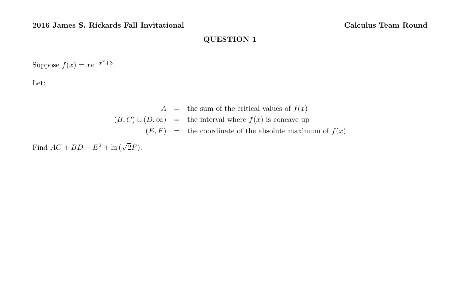Suppose  $f(x) = xe^{-x^2+3}$ .

Let:

$$
A =
$$
 the sum of the critical values of  $f(x)$   
 $(B, C) \cup (D, \infty) =$  the interval where  $f(x)$  is concave up  
 $(E, F) =$  the coordinate of the absolute maximum of  $f(x)$ 

Find  $AC + BD + E^2 + \ln(\sqrt{2}F)$ .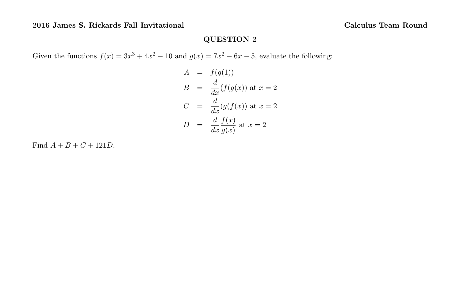Given the functions  $f(x) = 3x^3 + 4x^2 - 10$  and  $g(x) = 7x^2 - 6x - 5$ , evaluate the following:

$$
A = f(g(1))
$$
  
\n
$$
B = \frac{d}{dx}(f(g(x)) \text{ at } x = 2)
$$
  
\n
$$
C = \frac{d}{dx}(g(f(x)) \text{ at } x = 2)
$$
  
\n
$$
D = \frac{d}{dx}\frac{f(x)}{g(x)} \text{ at } x = 2
$$

Find  $A + B + C + 121D$ .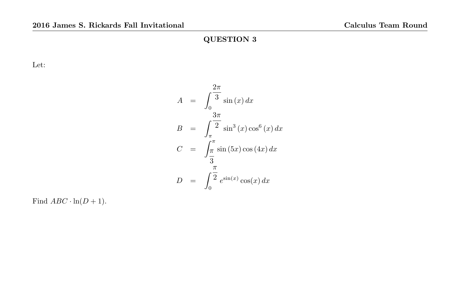Let:

$$
A = \int_0^{\frac{2\pi}{3}} \sin(x) dx
$$
  
\n
$$
B = \int_{\pi}^{\frac{3\pi}{2}} \sin^3(x) \cos^6(x) dx
$$
  
\n
$$
C = \int_{\frac{\pi}{3}}^{\pi} \sin(5x) \cos(4x) dx
$$
  
\n
$$
D = \int_0^{\frac{\pi}{2}} e^{\sin(x)} \cos(x) dx
$$

Find  $ABC \cdot \ln(D+1)$ .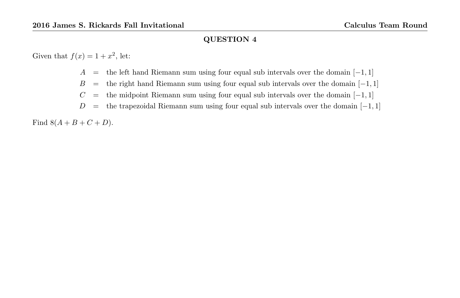Given that  $f(x) = 1 + x^2$ , let:

- A = the left hand Riemann sum using four equal sub intervals over the domain  $[-1, 1]$
- $B =$  the right hand Riemann sum using four equal sub intervals over the domain  $[-1, 1]$
- $C$  = the midpoint Riemann sum using four equal sub intervals over the domain  $[-1, 1]$
- $D =$  the trapezoidal Riemann sum using four equal sub intervals over the domain  $[-1, 1]$

Find  $8(A + B + C + D)$ .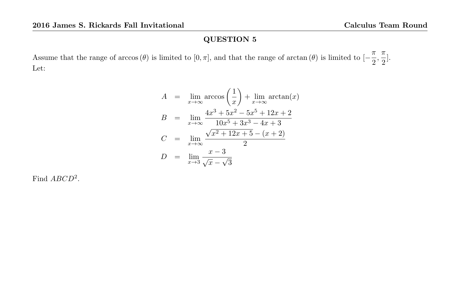Assume that the range of arccos  $(\theta)$  is limited to  $[0, \pi]$ , and that the range of arctan  $(\theta)$  is limited to  $[-\frac{\pi}{2}]$  $\frac{\pi}{2}, \frac{\pi}{2}$  $\frac{1}{2}$ . Let:

$$
A = \lim_{x \to \infty} \arccos\left(\frac{1}{x}\right) + \lim_{x \to \infty} \arctan(x)
$$
  
\n
$$
B = \lim_{x \to \infty} \frac{4x^3 + 5x^2 - 5x^5 + 12x + 2}{10x^5 + 3x^3 - 4x + 3}
$$
  
\n
$$
C = \lim_{x \to \infty} \frac{\sqrt{x^2 + 12x + 5} - (x + 2)}{2}
$$
  
\n
$$
D = \lim_{x \to 3} \frac{x - 3}{\sqrt{x} - \sqrt{3}}
$$

Find  $ABCD^2$ .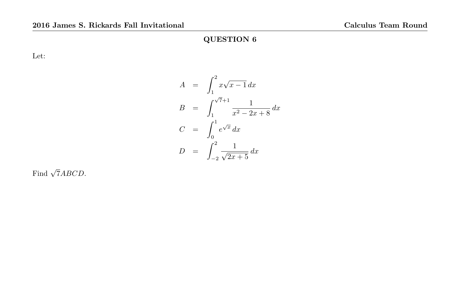Let:

$$
A = \int_{1}^{2} x\sqrt{x-1} dx
$$
  
\n
$$
B = \int_{1}^{\sqrt{7}+1} \frac{1}{x^{2} - 2x + 8} dx
$$
  
\n
$$
C = \int_{0}^{1} e^{\sqrt{x}} dx
$$
  
\n
$$
D = \int_{-2}^{2} \frac{1}{\sqrt{2x+5}} dx
$$

Find  $\sqrt{7}ABCD$ .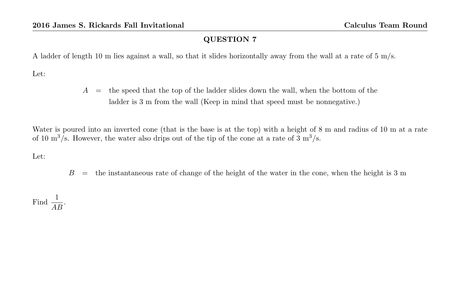A ladder of length 10 m lies against a wall, so that it slides horizontally away from the wall at a rate of 5 m/s.

Let:

 $A =$  the speed that the top of the ladder slides down the wall, when the bottom of the ladder is 3 m from the wall (Keep in mind that speed must be nonnegative.)

Water is poured into an inverted cone (that is the base is at the top) with a height of 8 m and radius of 10 m at a rate of 10  $\text{m}^3/\text{s}$ . However, the water also drips out of the tip of the cone at a rate of 3  $\text{m}^3/\text{s}$ .

Let:

 $B =$  the instantaneous rate of change of the height of the water in the cone, when the height is 3 m

Find  $\frac{1}{AB}$ .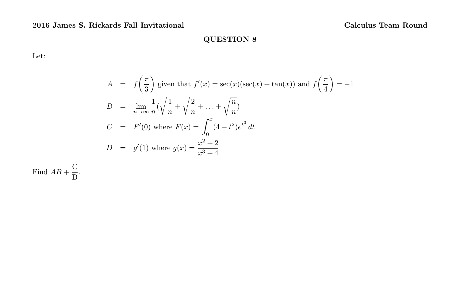Let:

$$
A = f\left(\frac{\pi}{3}\right)
$$
 given that  $f'(x) = \sec(x)(\sec(x) + \tan(x))$  and  $f\left(\frac{\pi}{4}\right) = -1$   
\n
$$
B = \lim_{n \to \infty} \frac{1}{n} \left(\sqrt{\frac{1}{n}} + \sqrt{\frac{2}{n}} + \dots + \sqrt{\frac{n}{n}}\right)
$$
  
\n
$$
C = F'(0) \text{ where } F(x) = \int_0^x (4 - t^2)e^{t^3} dt
$$
  
\n
$$
D = g'(1) \text{ where } g(x) = \frac{x^2 + 2}{x^3 + 4}
$$

Find  $AB + \frac{C}{D}$  $\frac{8}{\text{D}}$ .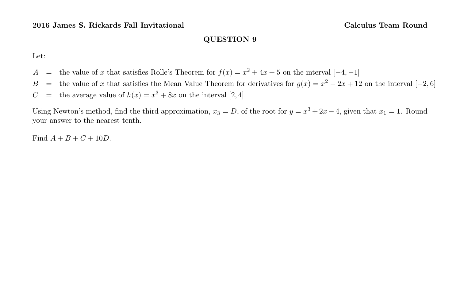Let:

- A = the value of x that satisfies Rolle's Theorem for  $f(x) = x^2 + 4x + 5$  on the interval  $[-4, -1]$
- B = the value of x that satisfies the Mean Value Theorem for derivatives for  $g(x) = x^2 2x + 12$  on the interval  $[-2, 6]$
- C = the average value of  $h(x) = x^3 + 8x$  on the interval [2, 4].

Using Newton's method, find the third approximation,  $x_3 = D$ , of the root for  $y = x^3 + 2x - 4$ , given that  $x_1 = 1$ . Round your answer to the nearest tenth.

Find  $A + B + C + 10D$ .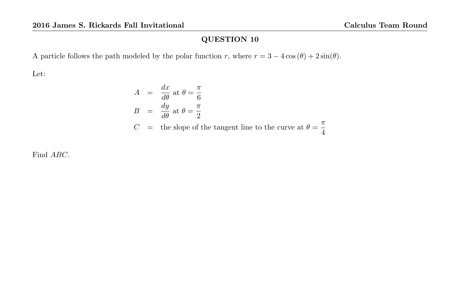A particle follows the path modeled by the polar function r, where  $r = 3 - 4 \cos(\theta) + 2 \sin(\theta)$ .

Let:

$$
A = \frac{dx}{d\theta} \text{ at } \theta = \frac{\pi}{6}
$$
  
\n
$$
B = \frac{dy}{d\theta} \text{ at } \theta = \frac{\pi}{2}
$$
  
\n
$$
C = \text{ the slope of the tangent line to the curve at } \theta = \frac{\pi}{4}
$$

Find ABC.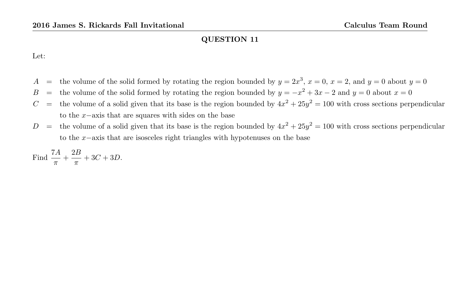Let:

- A = the volume of the solid formed by rotating the region bounded by  $y = 2x^3$ ,  $x = 0$ ,  $x = 2$ , and  $y = 0$  about  $y = 0$
- B = the volume of the solid formed by rotating the region bounded by  $y = -x^2 + 3x 2$  and  $y = 0$  about  $x = 0$
- $C =$  the volume of a solid given that its base is the region bounded by  $4x^2 + 25y^2 = 100$  with cross sections perpendicular to the x−axis that are squares with sides on the base
- $D =$  the volume of a solid given that its base is the region bounded by  $4x^2 + 25y^2 = 100$  with cross sections perpendicular to the x−axis that are isosceles right triangles with hypotenuses on the base

Find 
$$
\frac{7A}{\pi} + \frac{2B}{\pi} + 3C + 3D.
$$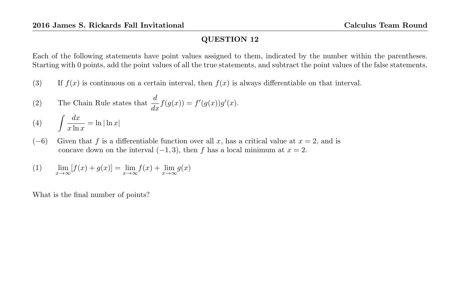Each of the following statements have point values assigned to them, indicated by the number within the parentheses. Starting with 0 points, add the point values of all the true statements, and subtract the point values of the false statements.

- (3) If  $f(x)$  is continuous on a certain interval, then  $f(x)$  is always differentiable on that interval.
- (2) The Chain Rule states that  $\frac{d}{dx}f(g(x)) = f'(g(x))g'(x)$ .

$$
(4) \qquad \int \frac{dx}{x \ln x} = \ln|\ln x|
$$

 $(-6)$  Given that f is a differentiable function over all x, has a critical value at  $x = 2$ , and is concave down on the interval  $(-1, 3)$ , then f has a local minimum at  $x = 2$ .

(1) 
$$
\lim_{x \to \infty} [f(x) + g(x)] = \lim_{x \to \infty} f(x) + \lim_{x \to \infty} g(x)
$$

What is the final number of points?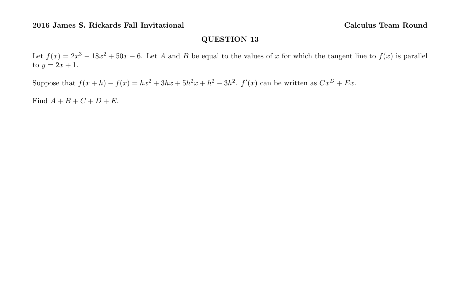Let  $f(x) = 2x^3 - 18x^2 + 50x - 6$ . Let A and B be equal to the values of x for which the tangent line to  $f(x)$  is parallel to  $y = 2x + 1$ .

Suppose that  $f(x+h) - f(x) = hx^2 + 3hx + 5h^2x + h^2 - 3h^2$ .  $f'(x)$  can be written as  $Cx^D + Ex$ .

Find  $A + B + C + D + E$ .